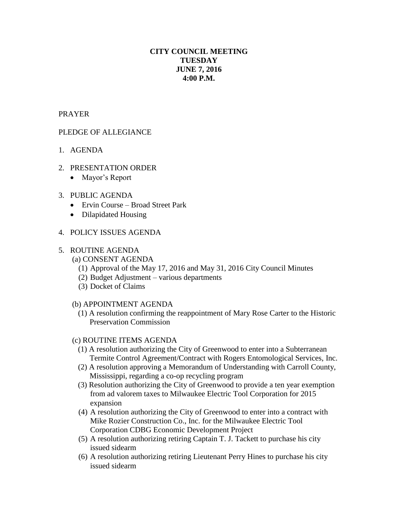# **CITY COUNCIL MEETING TUESDAY JUNE 7, 2016 4:00 P.M.**

### PRAYER

## PLEDGE OF ALLEGIANCE

- 1. AGENDA
- 2. PRESENTATION ORDER
	- Mayor's Report

#### 3. PUBLIC AGENDA

- Ervin Course Broad Street Park
- Dilapidated Housing

#### 4. POLICY ISSUES AGENDA

#### 5. ROUTINE AGENDA

- (a) CONSENT AGENDA
	- (1) Approval of the May 17, 2016 and May 31, 2016 City Council Minutes
	- (2) Budget Adjustment various departments
	- (3) Docket of Claims

#### (b) APPOINTMENT AGENDA

 (1) A resolution confirming the reappointment of Mary Rose Carter to the Historic Preservation Commission

#### (c) ROUTINE ITEMS AGENDA

- (1) A resolution authorizing the City of Greenwood to enter into a Subterranean Termite Control Agreement/Contract with Rogers Entomological Services, Inc.
- (2) A resolution approving a Memorandum of Understanding with Carroll County, Mississippi, regarding a co-op recycling program
- (3) Resolution authorizing the City of Greenwood to provide a ten year exemption from ad valorem taxes to Milwaukee Electric Tool Corporation for 2015 expansion
- (4) A resolution authorizing the City of Greenwood to enter into a contract with Mike Rozier Construction Co., Inc. for the Milwaukee Electric Tool Corporation CDBG Economic Development Project
- (5) A resolution authorizing retiring Captain T. J. Tackett to purchase his city issued sidearm
- (6) A resolution authorizing retiring Lieutenant Perry Hines to purchase his city issued sidearm